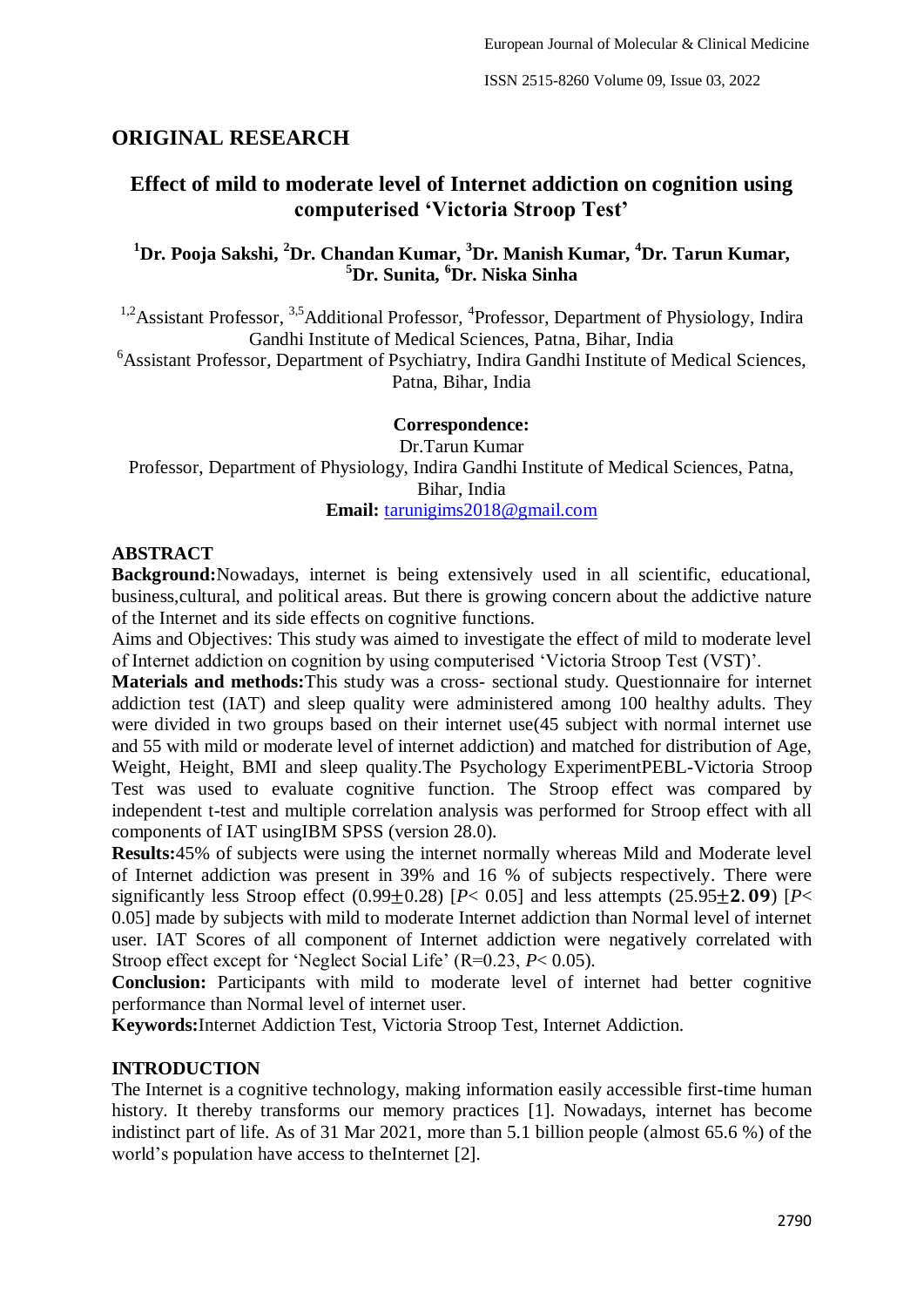# **ORIGINAL RESEARCH**

# **Effect of mild to moderate level of Internet addiction on cognition using computerised 'Victoria Stroop Test'**

# **<sup>1</sup>Dr. Pooja Sakshi, <sup>2</sup>Dr. Chandan Kumar, <sup>3</sup>Dr. Manish Kumar, <sup>4</sup>Dr. Tarun Kumar, <sup>5</sup>Dr. Sunita, <sup>6</sup>Dr. Niska Sinha**

<sup>1,2</sup> Assistant Professor, <sup>3,5</sup> Additional Professor, <sup>4</sup> Professor, Department of Physiology, Indira Gandhi Institute of Medical Sciences, Patna, Bihar, India

<sup>6</sup>Assistant Professor, Department of Psychiatry, Indira Gandhi Institute of Medical Sciences, Patna, Bihar, India

# **Correspondence:**

Dr.Tarun Kumar Professor, Department of Physiology, Indira Gandhi Institute of Medical Sciences, Patna, Bihar, India **Email:** [tarunigims2018@gmail.com](mailto:tarunigims2018@gmail.com)

# **ABSTRACT**

**Background:**Nowadays, internet is being extensively used in all scientific, educational, business,cultural, and political areas. But there is growing concern about the addictive nature of the Internet and its side effects on cognitive functions.

Aims and Objectives: This study was aimed to investigate the effect of mild to moderate level of Internet addiction on cognition by using computerised "Victoria Stroop Test (VST)".

**Materials and methods:**This study was a cross- sectional study. Questionnaire for internet addiction test (IAT) and sleep quality were administered among 100 healthy adults. They were divided in two groups based on their internet use(45 subject with normal internet use and 55 with mild or moderate level of internet addiction) and matched for distribution of Age, Weight, Height, BMI and sleep quality.The Psychology ExperimentPEBL-Victoria Stroop Test was used to evaluate cognitive function. The Stroop effect was compared by independent t-test and multiple correlation analysis was performed for Stroop effect with all components of IAT usingIBM SPSS (version 28.0).

**Results:**45% of subjects were using the internet normally whereas Mild and Moderate level of Internet addiction was present in 39% and 16 % of subjects respectively. There were significantly less Stroop effect  $(0.99+0.28)$   $[P< 0.05]$  and less attempts  $(25.95+2.09)$   $[P<sub>0.05</sub>]$ 0.05] made by subjects with mild to moderate Internet addiction than Normal level of internet user. IAT Scores of all component of Internet addiction were negatively correlated with Stroop effect except for 'Neglect Social Life' (R=0.23, *P*< 0.05).

**Conclusion:** Participants with mild to moderate level of internet had better cognitive performance than Normal level of internet user.

**Keywords:**Internet Addiction Test, Victoria Stroop Test, Internet Addiction.

#### **INTRODUCTION**

The Internet is a cognitive technology, making information easily accessible first-time human history. It thereby transforms our memory practices [1]. Nowadays, internet has become indistinct part of life. As of 31 Mar 2021, more than 5.1 billion people (almost 65.6 %) of the world's population have access to theInternet [2].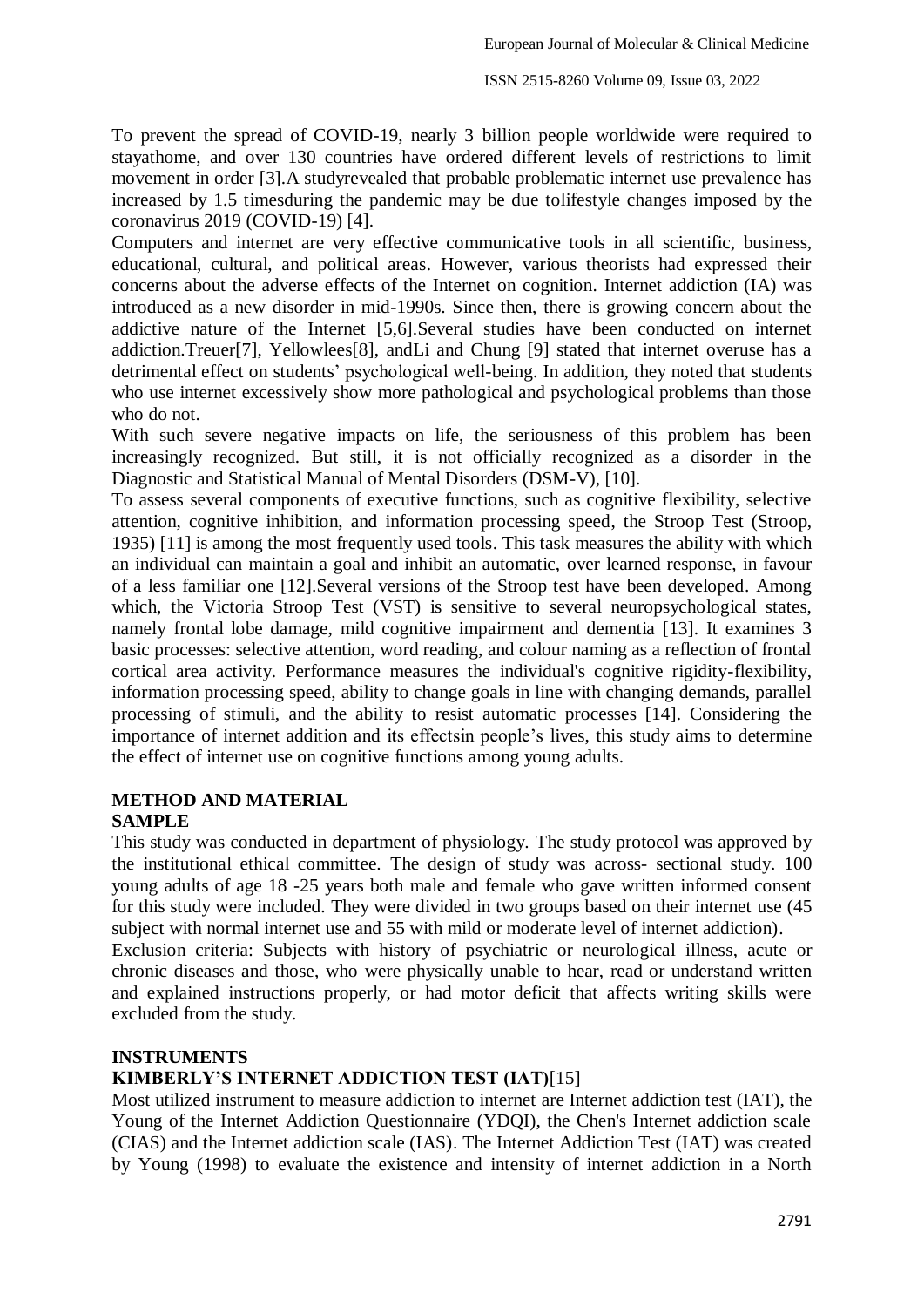To prevent the spread of COVID-19, nearly 3 billion people worldwide were required to stayathome, and over 130 countries have ordered different levels of restrictions to limit movement in order [3].A studyrevealed that probable problematic internet use prevalence has increased by 1.5 timesduring the pandemic may be due tolifestyle changes imposed by the coronavirus 2019 (COVID-19) [4].

Computers and internet are very effective communicative tools in all scientific, business, educational, cultural, and political areas. However, various theorists had expressed their concerns about the adverse effects of the Internet on cognition. Internet addiction (IA) was introduced as a new disorder in mid-1990s. Since then, there is growing concern about the addictive nature of the Internet [5,6].Several studies have been conducted on internet addiction.Treuer[7], Yellowlees[8], andLi and Chung [9] stated that internet overuse has a detrimental effect on students' psychological well-being. In addition, they noted that students who use internet excessively show more pathological and psychological problems than those who do not.

With such severe negative impacts on life, the seriousness of this problem has been increasingly recognized. But still, it is not officially recognized as a disorder in the Diagnostic and Statistical Manual of Mental Disorders (DSM-V), [10].

To assess several components of executive functions, such as cognitive flexibility, selective attention, cognitive inhibition, and information processing speed, the Stroop Test (Stroop, 1935) [11] is among the most frequently used tools. This task measures the ability with which an individual can maintain a goal and inhibit an automatic, over learned response, in favour of a less familiar one [12].Several versions of the Stroop test have been developed. Among which, the Victoria Stroop Test (VST) is sensitive to several neuropsychological states, namely frontal lobe damage, mild cognitive impairment and dementia [13]. It examines 3 basic processes: selective attention, word reading, and colour naming as a reflection of frontal cortical area activity. Performance measures the individual's cognitive rigidity-flexibility, information processing speed, ability to change goals in line with changing demands, parallel processing of stimuli, and the ability to resist automatic processes [14]. Considering the importance of internet addition and its effectsin people"s lives, this study aims to determine the effect of internet use on cognitive functions among young adults.

# **METHOD AND MATERIAL**

#### **SAMPLE**

This study was conducted in department of physiology. The study protocol was approved by the institutional ethical committee. The design of study was across- sectional study. 100 young adults of age 18 -25 years both male and female who gave written informed consent for this study were included. They were divided in two groups based on their internet use (45 subject with normal internet use and 55 with mild or moderate level of internet addiction).

Exclusion criteria: Subjects with history of psychiatric or neurological illness, acute or chronic diseases and those, who were physically unable to hear, read or understand written and explained instructions properly, or had motor deficit that affects writing skills were excluded from the study.

#### **INSTRUMENTS**

#### **KIMBERLY'S INTERNET ADDICTION TEST (IAT)**[15]

Most utilized instrument to measure addiction to internet are Internet addiction test (IAT), the Young of the Internet Addiction Questionnaire (YDQI), the Chen's Internet addiction scale (CIAS) and the Internet addiction scale (IAS). The Internet Addiction Test (IAT) was created by Young (1998) to evaluate the existence and intensity of internet addiction in a North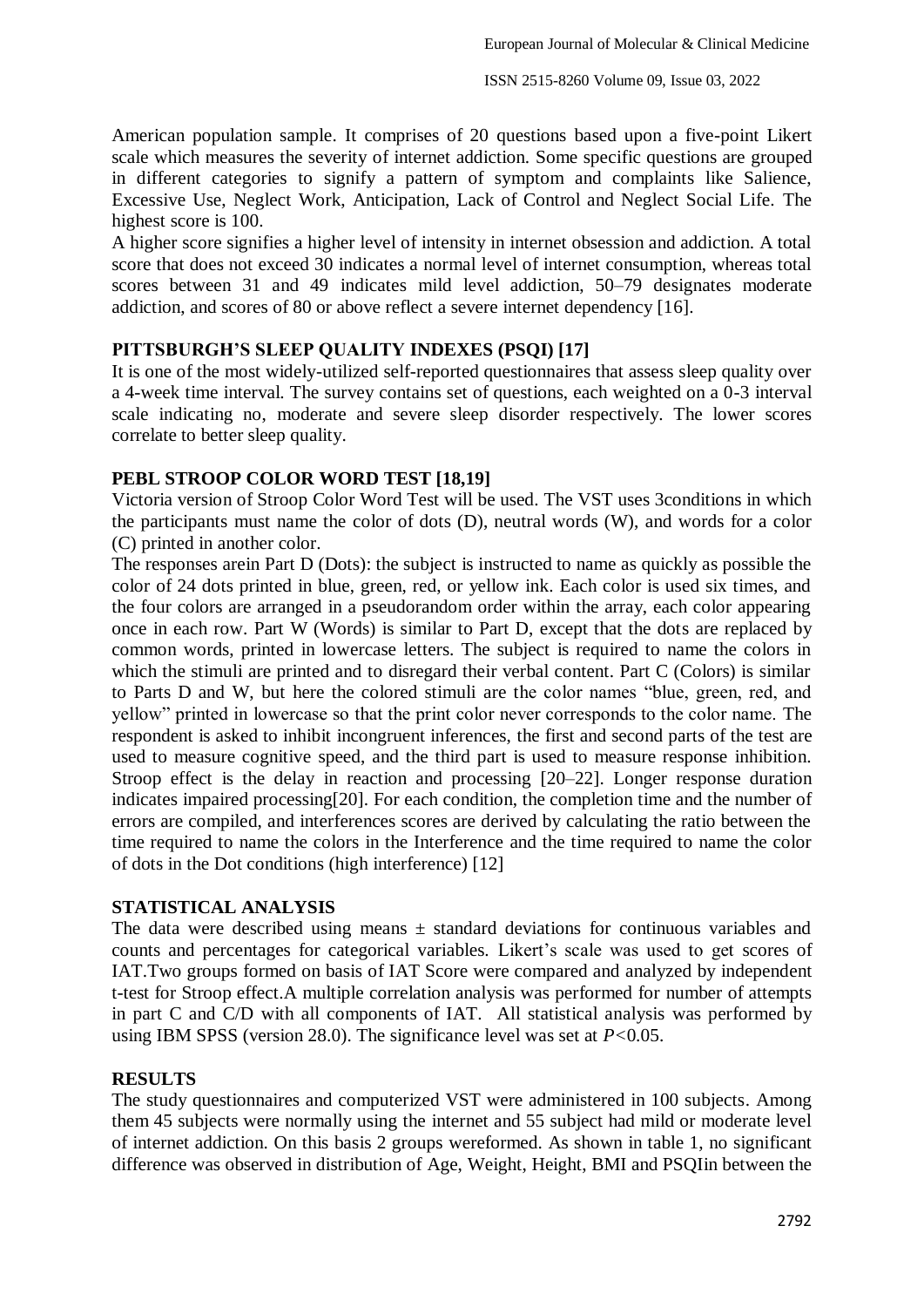American population sample. It comprises of 20 questions based upon a five-point Likert scale which measures the severity of internet addiction. Some specific questions are grouped in different categories to signify a pattern of symptom and complaints like Salience, Excessive Use, Neglect Work, Anticipation, Lack of Control and Neglect Social Life. The highest score is 100.

A higher score signifies a higher level of intensity in internet obsession and addiction. A total score that does not exceed 30 indicates a normal level of internet consumption, whereas total scores between 31 and 49 indicates mild level addiction, 50–79 designates moderate addiction, and scores of 80 or above reflect a severe internet dependency [16].

#### **PITTSBURGH'S SLEEP QUALITY INDEXES (PSQI) [17]**

It is one of the most widely-utilized self-reported questionnaires that assess sleep quality over a 4-week time interval. The survey contains set of questions, each weighted on a 0-3 interval scale indicating no, moderate and severe sleep disorder respectively. The lower scores correlate to better sleep quality.

# **PEBL STROOP COLOR WORD TEST [18,19]**

Victoria version of Stroop Color Word Test will be used. The VST uses 3conditions in which the participants must name the color of dots (D), neutral words (W), and words for a color (C) printed in another color.

The responses arein Part D (Dots): the subject is instructed to name as quickly as possible the color of 24 dots printed in blue, green, red, or yellow ink. Each color is used six times, and the four colors are arranged in a pseudorandom order within the array, each color appearing once in each row. Part W (Words) is similar to Part D, except that the dots are replaced by common words, printed in lowercase letters. The subject is required to name the colors in which the stimuli are printed and to disregard their verbal content. Part C (Colors) is similar to Parts D and W, but here the colored stimuli are the color names "blue, green, red, and yellow" printed in lowercase so that the print color never corresponds to the color name. The respondent is asked to inhibit incongruent inferences, the first and second parts of the test are used to measure cognitive speed, and the third part is used to measure response inhibition. Stroop effect is the delay in reaction and processing [20–22]. Longer response duration indicates impaired processing[20]. For each condition, the completion time and the number of errors are compiled, and interferences scores are derived by calculating the ratio between the time required to name the colors in the Interference and the time required to name the color of dots in the Dot conditions (high interference) [12]

# **STATISTICAL ANALYSIS**

The data were described using means  $\pm$  standard deviations for continuous variables and counts and percentages for categorical variables. Likert"s scale was used to get scores of IAT.Two groups formed on basis of IAT Score were compared and analyzed by independent t-test for Stroop effect.A multiple correlation analysis was performed for number of attempts in part C and C/D with all components of IAT. All statistical analysis was performed by using IBM SPSS (version 28.0). The significance level was set at *P<*0.05.

#### **RESULTS**

The study questionnaires and computerized VST were administered in 100 subjects. Among them 45 subjects were normally using the internet and 55 subject had mild or moderate level of internet addiction. On this basis 2 groups wereformed. As shown in table 1, no significant difference was observed in distribution of Age, Weight, Height, BMI and PSQIin between the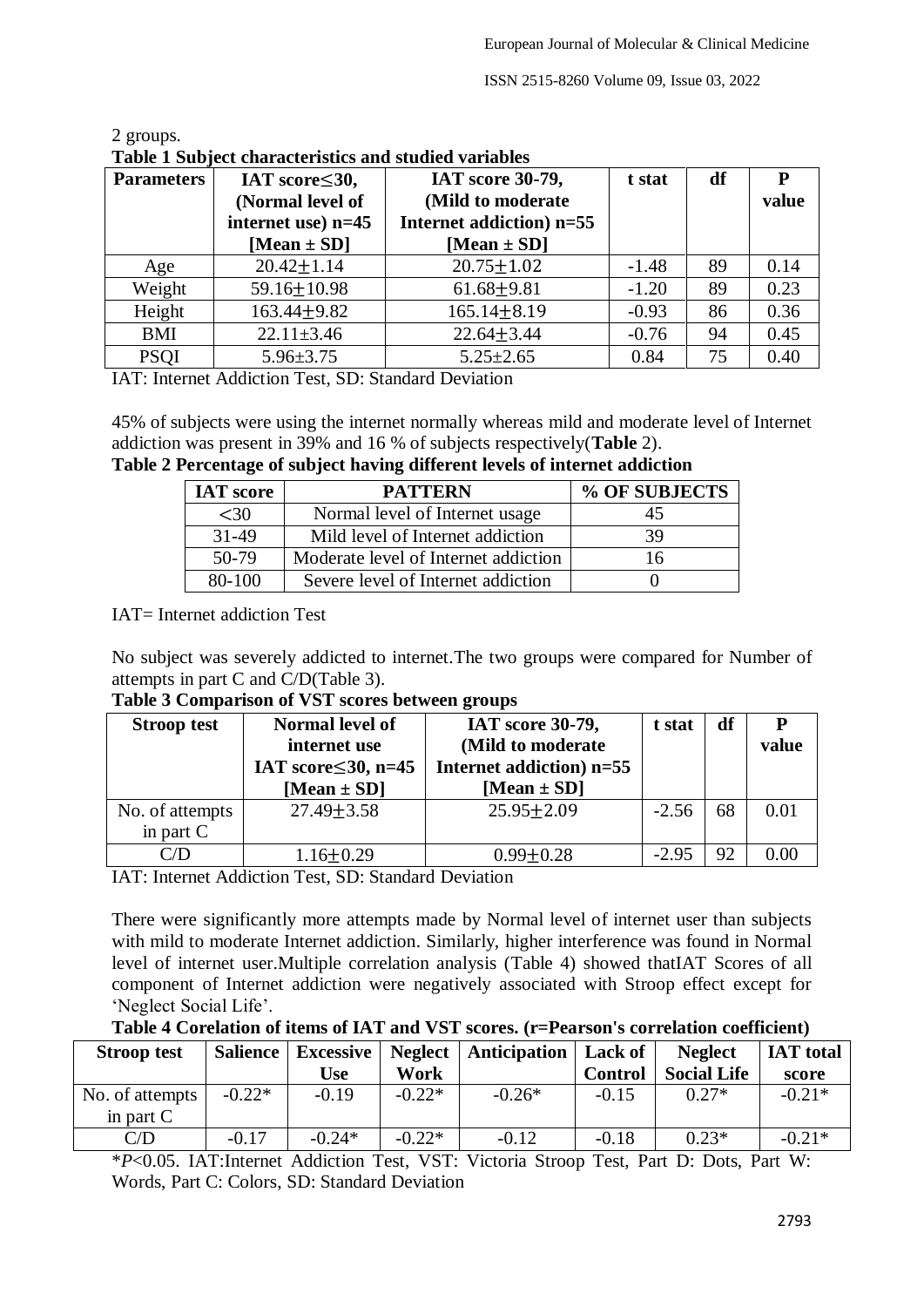| Table I Subject characteristics and studied variables |                       |                          |         |    |       |  |  |
|-------------------------------------------------------|-----------------------|--------------------------|---------|----|-------|--|--|
| <b>Parameters</b>                                     | IAT score $\leq 30$ , | IAT score 30-79,         | t stat  | df | P     |  |  |
|                                                       | (Normal level of      | (Mild to moderate        |         |    | value |  |  |
|                                                       | internet use) n=45    | Internet addiction) n=55 |         |    |       |  |  |
|                                                       | [Mean $\pm$ SD]       | [Mean $\pm$ SD]          |         |    |       |  |  |
| Age                                                   | $20.42 \pm 1.14$      | $20.75 \pm 1.02$         | $-1.48$ | 89 | 0.14  |  |  |
| Weight                                                | $59.16 \pm 10.98$     | $61.68 + 9.81$           | $-1.20$ | 89 | 0.23  |  |  |
| Height                                                | $163.44 + 9.82$       | $165.14 \pm 8.19$        | $-0.93$ | 86 | 0.36  |  |  |
| <b>BMI</b>                                            | $22.11 \pm 3.46$      | $22.64 \pm 3.44$         | $-0.76$ | 94 | 0.45  |  |  |
| <b>PSOI</b>                                           | $5.96 \pm 3.75$       | $5.25 \pm 2.65$          | 0.84    | 75 | 0.40  |  |  |

| 2 groups.                                             |  |
|-------------------------------------------------------|--|
| Table 1 Subject characteristics and studied variables |  |

IAT: Internet Addiction Test, SD: Standard Deviation

45% of subjects were using the internet normally whereas mild and moderate level of Internet addiction was present in 39% and 16 % of subjects respectively(**Table** 2).

**Table 2 Percentage of subject having different levels of internet addiction**

| <b>IAT</b> score | <b>PATTERN</b>                       | % OF SUBJECTS |
|------------------|--------------------------------------|---------------|
| <30              | Normal level of Internet usage       | 45            |
| $31-49$          | Mild level of Internet addiction     | 39            |
| $50-79$          | Moderate level of Internet addiction | 16            |
| 80-100           | Severe level of Internet addiction   |               |

IAT= Internet addiction Test

No subject was severely addicted to internet.The two groups were compared for Number of attempts in part C and C/D(Table 3).

| <b>Stroop test</b>             | Normal level of<br>internet use<br>IAT score $\leq 30$ , n=45<br>[Mean $\pm$ SD] | IAT score 30-79,<br>(Mild to moderate<br>Internet addiction) $n=55$<br>[Mean $\pm$ SD] | t stat  | df | value |
|--------------------------------|----------------------------------------------------------------------------------|----------------------------------------------------------------------------------------|---------|----|-------|
| No. of attempts<br>in part $C$ | $27.49 \pm 3.58$                                                                 | $25.95 \pm 2.09$                                                                       | $-2.56$ | 68 | 0.01  |
|                                | $1.16 \pm 0.29$                                                                  | $0.99 + 0.28$                                                                          | $-2.95$ | 92 |       |

IAT: Internet Addiction Test, SD: Standard Deviation

There were significantly more attempts made by Normal level of internet user than subjects with mild to moderate Internet addiction. Similarly, higher interference was found in Normal level of internet user.Multiple correlation analysis (Table 4) showed thatIAT Scores of all component of Internet addiction were negatively associated with Stroop effect except for 'Neglect Social Life'.

**Table 4 Corelation of items of IAT and VST scores. (r=Pearson's correlation coefficient)**

| <b>Stroop test</b> |          |          |          | Salience   Excessive   Neglect   Anticipation   Lack of |                | <b>Neglect</b>     | <b>IAT</b> total |
|--------------------|----------|----------|----------|---------------------------------------------------------|----------------|--------------------|------------------|
|                    |          | Use      | Work     |                                                         | <b>Control</b> | <b>Social Life</b> | score            |
| No. of attempts    | $-0.22*$ | $-0.19$  | $-0.22*$ | $-0.26*$                                                | $-0.15$        | $0.27*$            | $-0.21*$         |
| in part $C$        |          |          |          |                                                         |                |                    |                  |
| C/D                | $-0.17$  | $-0.24*$ | $-0.22*$ | $-0.12$                                                 | $-0.18$        | $0.23*$            | $-0.21*$         |

\**P*<0.05. IAT:Internet Addiction Test, VST: Victoria Stroop Test, Part D: Dots, Part W: Words, Part C: Colors, SD: Standard Deviation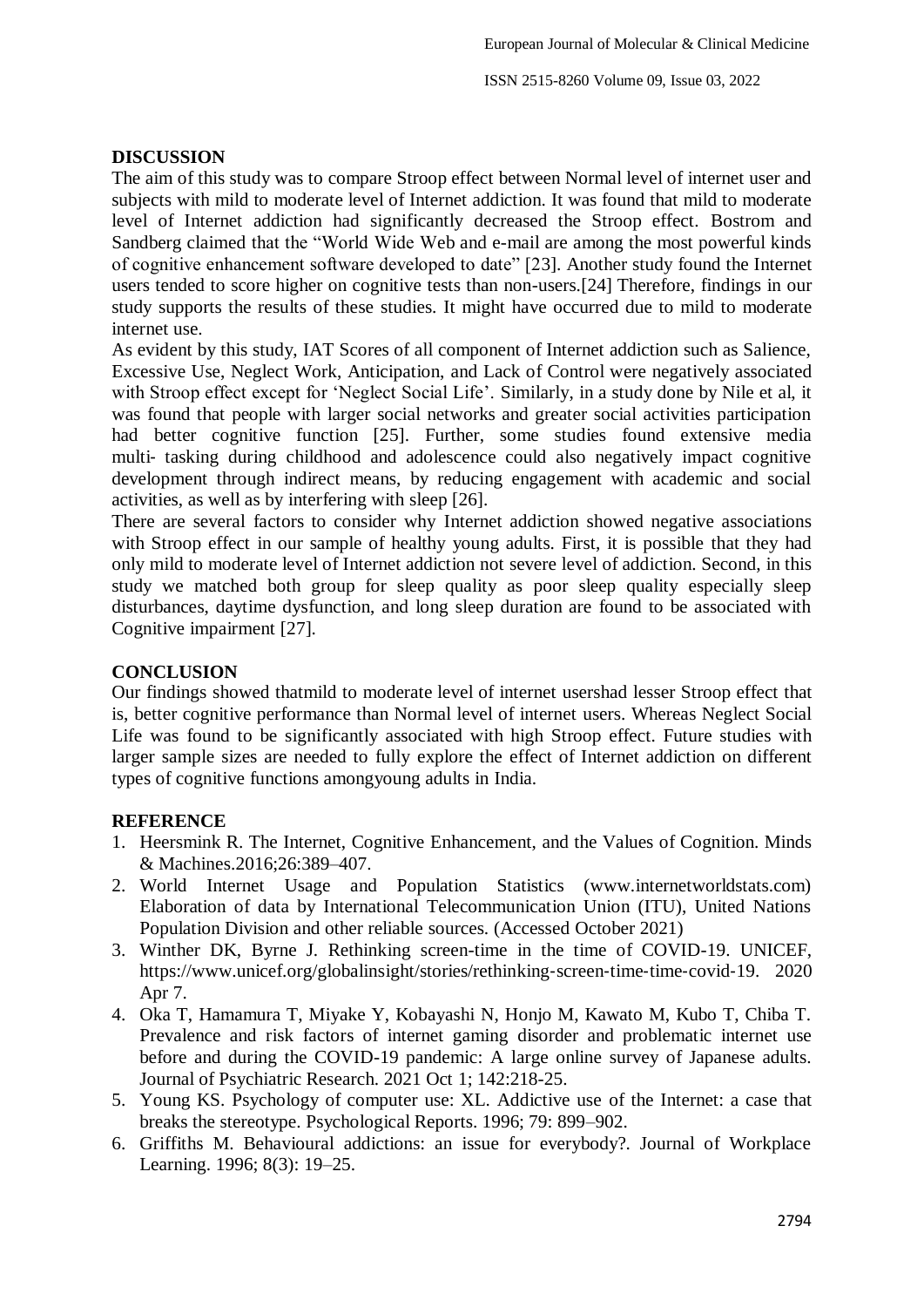#### **DISCUSSION**

The aim of this study was to compare Stroop effect between Normal level of internet user and subjects with mild to moderate level of Internet addiction. It was found that mild to moderate level of Internet addiction had significantly decreased the Stroop effect. Bostrom and Sandberg claimed that the "World Wide Web and e-mail are among the most powerful kinds of cognitive enhancement software developed to date" [23]. Another study found the Internet users tended to score higher on cognitive tests than non-users.[24] Therefore, findings in our study supports the results of these studies. It might have occurred due to mild to moderate internet use.

As evident by this study, IAT Scores of all component of Internet addiction such as Salience, Excessive Use, Neglect Work, Anticipation, and Lack of Control were negatively associated with Stroop effect except for 'Neglect Social Life'. Similarly, in a study done by Nile et al, it was found that people with larger social networks and greater social activities participation had better cognitive function [25]. Further, some studies found extensive media multi‐ tasking during childhood and adolescence could also negatively impact cognitive development through indirect means, by reducing engagement with academic and social activities, as well as by interfering with sleep [26].

There are several factors to consider why Internet addiction showed negative associations with Stroop effect in our sample of healthy young adults. First, it is possible that they had only mild to moderate level of Internet addiction not severe level of addiction. Second, in this study we matched both group for sleep quality as poor sleep quality especially sleep disturbances, daytime dysfunction, and long sleep duration are found to be associated with Cognitive impairment [27].

# **CONCLUSION**

Our findings showed thatmild to moderate level of internet usershad lesser Stroop effect that is, better cognitive performance than Normal level of internet users. Whereas Neglect Social Life was found to be significantly associated with high Stroop effect. Future studies with larger sample sizes are needed to fully explore the effect of Internet addiction on different types of cognitive functions amongyoung adults in India.

#### **REFERENCE**

- 1. Heersmink R. The Internet, Cognitive Enhancement, and the Values of Cognition. Minds & Machines.2016;26:389–407.
- 2. World Internet Usage and Population Statistics (www.internetworldstats.com) Elaboration of data by International Telecommunication Union (ITU), United Nations Population Division and other reliable sources. (Accessed October 2021)
- 3. Winther DK, Byrne J. Rethinking screen-time in the time of COVID-19. UNICEF, https://www.unicef.org/globalinsight/stories/rethinking-screen-time-time-covid-19. 2020 Apr 7.
- 4. Oka T, Hamamura T, Miyake Y, Kobayashi N, Honjo M, Kawato M, Kubo T, Chiba T. Prevalence and risk factors of internet gaming disorder and problematic internet use before and during the COVID-19 pandemic: A large online survey of Japanese adults. Journal of Psychiatric Research. 2021 Oct 1; 142:218-25.
- 5. Young KS. Psychology of computer use: XL. Addictive use of the Internet: a case that breaks the stereotype. Psychological Reports. 1996; 79: 899–902.
- 6. Griffiths M. Behavioural addictions: an issue for everybody?. Journal of Workplace Learning. 1996; 8(3): 19–25.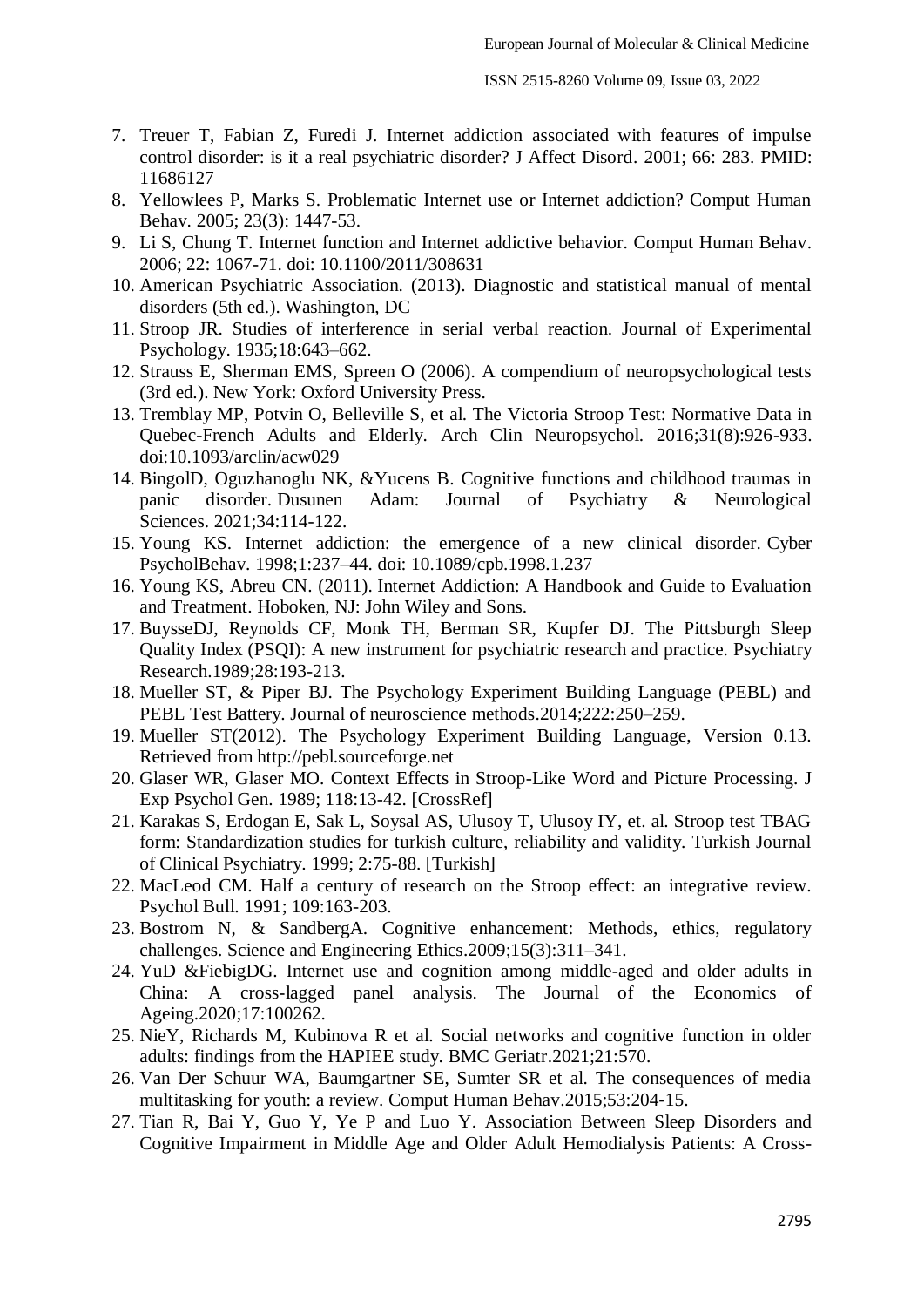- 7. Treuer T, Fabian Z, Furedi J. Internet addiction associated with features of impulse control disorder: is it a real psychiatric disorder? J Affect Disord. 2001; 66: 283. PMID: 11686127
- 8. Yellowlees P, Marks S. Problematic Internet use or Internet addiction? Comput Human Behav. 2005; 23(3): 1447-53.
- 9. Li S, Chung T. Internet function and Internet addictive behavior. Comput Human Behav. 2006; 22: 1067-71. doi: 10.1100/2011/308631
- 10. American Psychiatric Association. (2013). Diagnostic and statistical manual of mental disorders (5th ed.). Washington, DC
- 11. Stroop JR. Studies of interference in serial verbal reaction. Journal of Experimental Psychology. 1935;18:643–662.
- 12. Strauss E, Sherman EMS, Spreen O (2006). A compendium of neuropsychological tests (3rd ed.). New York: Oxford University Press.
- 13. Tremblay MP, Potvin O, Belleville S, et al. The Victoria Stroop Test: Normative Data in Quebec-French Adults and Elderly. Arch Clin Neuropsychol. 2016;31(8):926-933. doi:10.1093/arclin/acw029
- 14. BingolD, Oguzhanoglu NK, &Yucens B. Cognitive functions and childhood traumas in panic disorder. Dusunen Adam: Journal of Psychiatry & Neurological Sciences. 2021;34:114-122.
- 15. Young KS. Internet addiction: the emergence of a new clinical disorder. Cyber PsycholBehav. 1998;1:237–44. doi: 10.1089/cpb.1998.1.237
- 16. Young KS, Abreu CN. (2011). Internet Addiction: A Handbook and Guide to Evaluation and Treatment. Hoboken, NJ: John Wiley and Sons.
- 17. BuysseDJ, Reynolds CF, Monk TH, Berman SR, Kupfer DJ. The Pittsburgh Sleep Quality Index (PSQI): A new instrument for psychiatric research and practice. Psychiatry Research.1989;28:193-213.
- 18. Mueller ST, & Piper BJ. The Psychology Experiment Building Language (PEBL) and PEBL Test Battery. Journal of neuroscience methods.2014;222:250–259.
- 19. Mueller ST(2012). The Psychology Experiment Building Language, Version 0.13. Retrieved from http://pebl.sourceforge.net
- 20. Glaser WR, Glaser MO. Context Effects in Stroop-Like Word and Picture Processing. J Exp Psychol Gen. 1989; 118:13-42. [CrossRef]
- 21. Karakas S, Erdogan E, Sak L, Soysal AS, Ulusoy T, Ulusoy IY, et. al. Stroop test TBAG form: Standardization studies for turkish culture, reliability and validity. Turkish Journal of Clinical Psychiatry. 1999; 2:75-88. [Turkish]
- 22. MacLeod CM. Half a century of research on the Stroop effect: an integrative review. Psychol Bull. 1991; 109:163-203.
- 23. Bostrom N, & SandbergA. Cognitive enhancement: Methods, ethics, regulatory challenges. Science and Engineering Ethics.2009;15(3):311–341.
- 24. YuD &FiebigDG. Internet use and cognition among middle-aged and older adults in China: A cross-lagged panel analysis. The Journal of the Economics of Ageing.2020;17:100262.
- 25. NieY, Richards M, Kubinova R et al. Social networks and cognitive function in older adults: findings from the HAPIEE study. BMC Geriatr.2021;21:570.
- 26. Van Der Schuur WA, Baumgartner SE, Sumter SR et al. The consequences of media multitasking for youth: a review. Comput Human Behav.2015;53:204‐15.
- 27. Tian R, Bai Y, Guo Y, Ye P and Luo Y. Association Between Sleep Disorders and Cognitive Impairment in Middle Age and Older Adult Hemodialysis Patients: A Cross-